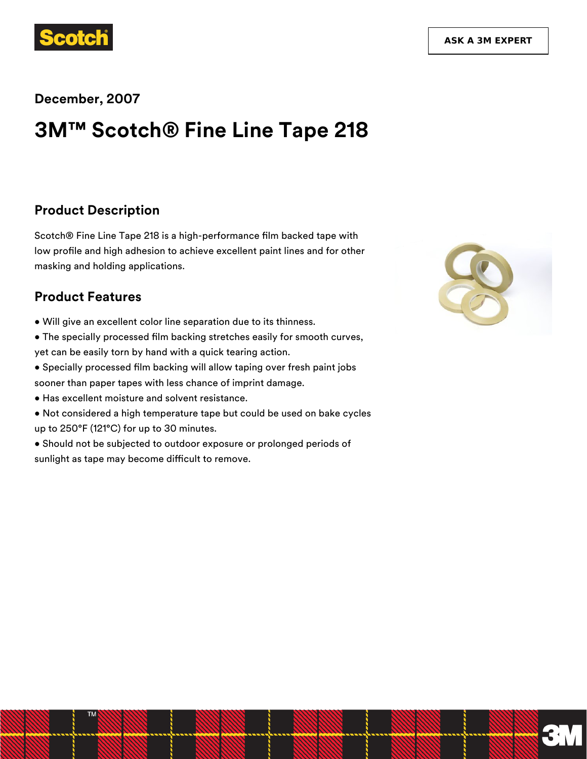

#### **December, 2007**

# **3M™ Scotch® Fine Line Tape 218**

#### **Product Description**

Scotch® Fine Line Tape 218 is a high-performance film backed tape with low profile and high adhesion to achieve excellent paint lines and for other masking and holding applications.

### **Product Features**

- Will give an excellent color line separation due to its thinness.
- The specially processed film backing stretches easily for smooth curves, yet can be easily torn by hand with a quick tearing action.
- Specially processed film backing will allow taping over fresh paint jobs sooner than paper tapes with less chance of imprint damage.
- Has excellent moisture and solvent resistance.
- Not considered a high temperature tape but could be used on bake cycles up to 250°F (121°C) for up to 30 minutes.
- Should not be subjected to outdoor exposure or prolonged periods of sunlight as tape may become difficult to remove.



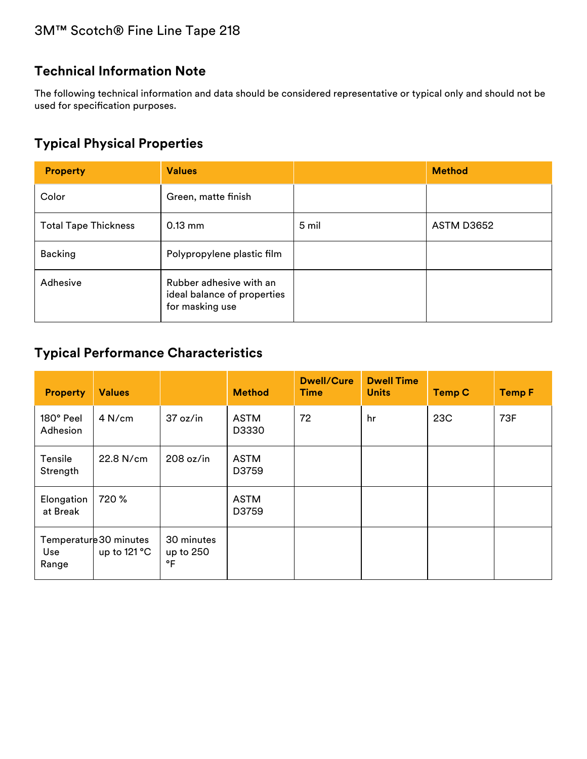# **Technical Information Note**

The following technical information and data should be considered representative or typical only and should not be used for specification purposes.

# **Typical Physical Properties**

| <b>Property</b>             | <b>Values</b>                                                             |       | <b>Method</b>     |
|-----------------------------|---------------------------------------------------------------------------|-------|-------------------|
| Color                       | Green, matte finish                                                       |       |                   |
| <b>Total Tape Thickness</b> | $0.13$ mm                                                                 | 5 mil | <b>ASTM D3652</b> |
| <b>Backing</b>              | Polypropylene plastic film                                                |       |                   |
| Adhesive                    | Rubber adhesive with an<br>ideal balance of properties<br>for masking use |       |                   |

# **Typical Performance Characteristics**

| <b>Property</b>        | <b>Values</b>                            |                               | <b>Method</b>        | <b>Dwell/Cure</b><br><b>Time</b> | <b>Dwell Time</b><br><b>Units</b> | <b>Temp C</b> | <b>Temp F</b> |
|------------------------|------------------------------------------|-------------------------------|----------------------|----------------------------------|-----------------------------------|---------------|---------------|
| 180° Peel<br>Adhesion  | 4 N/cm                                   | 37 oz/in                      | <b>ASTM</b><br>D3330 | 72                               | hr                                | 23C           | 73F           |
| Tensile<br>Strength    | 22.8 N/cm                                | 208 oz/in                     | <b>ASTM</b><br>D3759 |                                  |                                   |               |               |
| Elongation<br>at Break | 720 %                                    |                               | <b>ASTM</b><br>D3759 |                                  |                                   |               |               |
| Use<br>Range           | Temperature 30 minutes<br>up to $121 °C$ | 30 minutes<br>up to 250<br>°F |                      |                                  |                                   |               |               |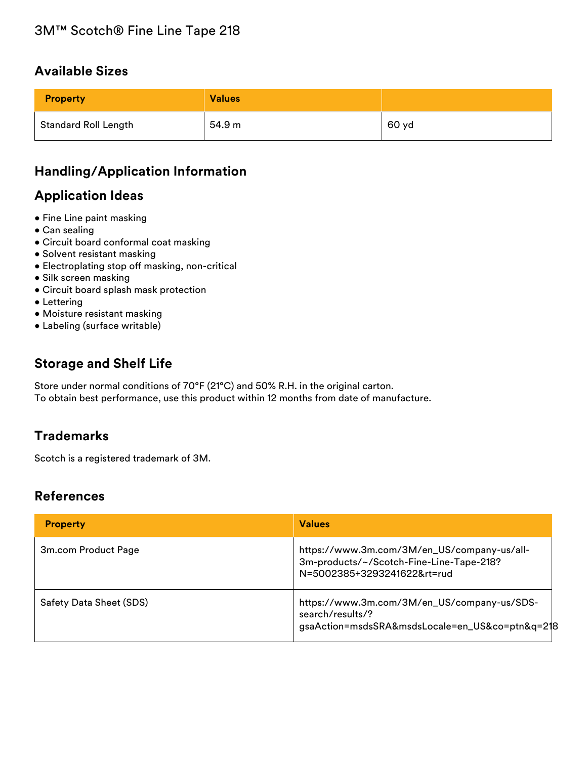## **Available Sizes**

| <b>Property</b>             | <b>Values</b> |       |
|-----------------------------|---------------|-------|
| <b>Standard Roll Length</b> | 54.9 m        | 60 yd |

# **Handling/Application Information**

# **Application Ideas**

- Fine Line paint masking
- Can sealing
- Circuit board conformal coat masking
- Solvent resistant masking
- Electroplating stop off masking, non-critical
- Silk screen masking
- Circuit board splash mask protection
- Lettering
- Moisture resistant masking
- Labeling (surface writable)

## **Storage and Shelf Life**

Store under normal conditions of 70°F (21°C) and 50% R.H. in the original carton. To obtain best performance, use this product within 12 months from date of manufacture.

## **Trademarks**

Scotch is a registered trademark of 3M.

#### **References**

| <b>Property</b>         | <b>Values</b>                                                                                                          |
|-------------------------|------------------------------------------------------------------------------------------------------------------------|
| 3m.com Product Page     | https://www.3m.com/3M/en_US/company-us/all-<br>3m-products/~/Scotch-Fine-Line-Tape-218?<br>N=5002385+3293241622&rt=rud |
| Safety Data Sheet (SDS) | https://www.3m.com/3M/en_US/company-us/SDS-<br>search/results/?<br>gsaAction=msdsSRA&msdsLocale=en_US&co=ptn&q=218     |